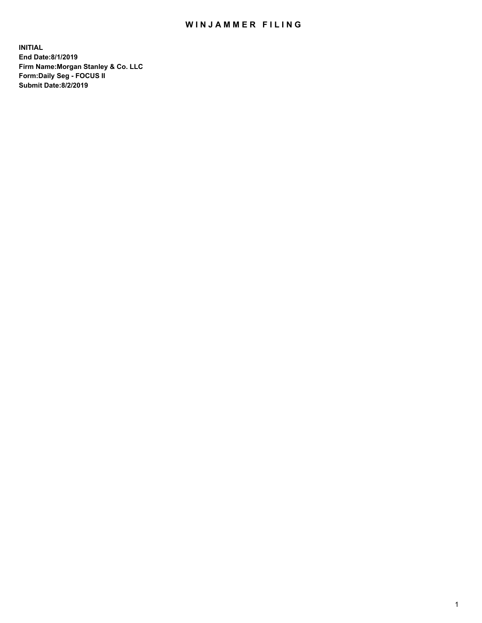## WIN JAMMER FILING

**INITIAL End Date:8/1/2019 Firm Name:Morgan Stanley & Co. LLC Form:Daily Seg - FOCUS II Submit Date:8/2/2019**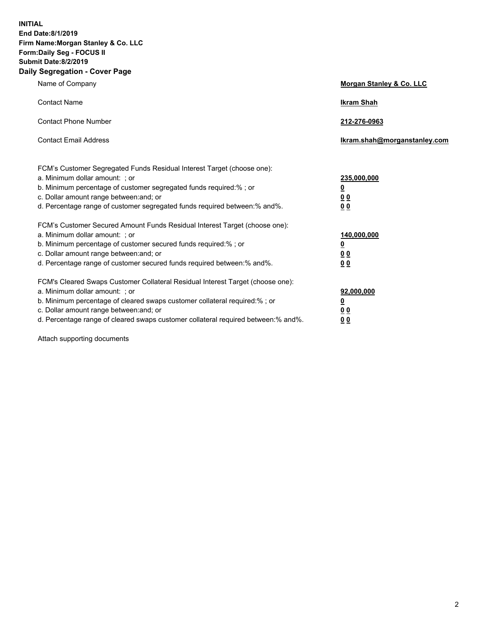**INITIAL End Date:8/1/2019 Firm Name:Morgan Stanley & Co. LLC Form:Daily Seg - FOCUS II Submit Date:8/2/2019 Daily Segregation - Cover Page**

| Name of Company                                                                                                                                                                                                                                                                                                                | Morgan Stanley & Co. LLC                                    |
|--------------------------------------------------------------------------------------------------------------------------------------------------------------------------------------------------------------------------------------------------------------------------------------------------------------------------------|-------------------------------------------------------------|
| <b>Contact Name</b>                                                                                                                                                                                                                                                                                                            | <b>Ikram Shah</b>                                           |
| <b>Contact Phone Number</b>                                                                                                                                                                                                                                                                                                    | 212-276-0963                                                |
| <b>Contact Email Address</b>                                                                                                                                                                                                                                                                                                   | Ikram.shah@morganstanley.com                                |
| FCM's Customer Segregated Funds Residual Interest Target (choose one):<br>a. Minimum dollar amount: ; or<br>b. Minimum percentage of customer segregated funds required:% ; or<br>c. Dollar amount range between: and; or<br>d. Percentage range of customer segregated funds required between:% and%.                         | 235,000,000<br><u>0</u><br>0 <sub>0</sub><br>00             |
| FCM's Customer Secured Amount Funds Residual Interest Target (choose one):<br>a. Minimum dollar amount: ; or<br>b. Minimum percentage of customer secured funds required:% ; or<br>c. Dollar amount range between: and; or<br>d. Percentage range of customer secured funds required between:% and%.                           | 140,000,000<br><u>0</u><br>0 <sub>0</sub><br>0 <sub>0</sub> |
| FCM's Cleared Swaps Customer Collateral Residual Interest Target (choose one):<br>a. Minimum dollar amount: ; or<br>b. Minimum percentage of cleared swaps customer collateral required:% ; or<br>c. Dollar amount range between: and; or<br>d. Percentage range of cleared swaps customer collateral required between:% and%. | 92,000,000<br><u>0</u><br>0 Q<br>0 <sub>0</sub>             |

Attach supporting documents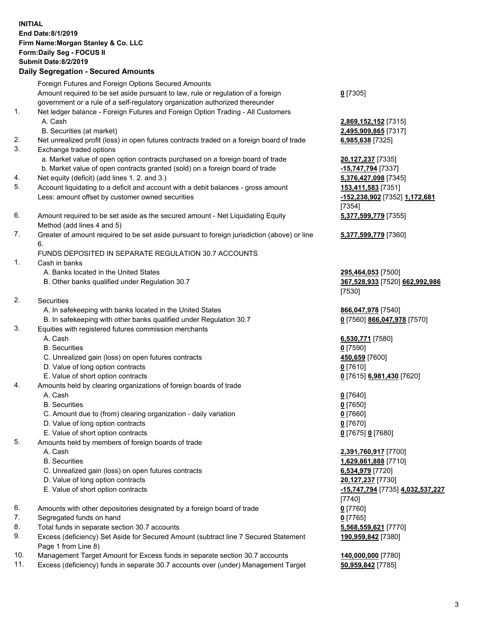|          | <b>INITIAL</b><br>End Date: 8/1/2019<br>Firm Name: Morgan Stanley & Co. LLC<br>Form: Daily Seg - FOCUS II<br><b>Submit Date: 8/2/2019</b><br><b>Daily Segregation - Secured Amounts</b>                                                   |                                                                 |
|----------|-------------------------------------------------------------------------------------------------------------------------------------------------------------------------------------------------------------------------------------------|-----------------------------------------------------------------|
|          | Foreign Futures and Foreign Options Secured Amounts<br>Amount required to be set aside pursuant to law, rule or regulation of a foreign<br>government or a rule of a self-regulatory organization authorized thereunder                   | $0$ [7305]                                                      |
| 1.       | Net ledger balance - Foreign Futures and Foreign Option Trading - All Customers<br>A. Cash<br>B. Securities (at market)                                                                                                                   | 2,869,152,152 [7315]<br>2,495,909,865 [7317]                    |
| 2.       | Net unrealized profit (loss) in open futures contracts traded on a foreign board of trade                                                                                                                                                 | 6,985,638 [7325]                                                |
| 3.<br>4. | Exchange traded options<br>a. Market value of open option contracts purchased on a foreign board of trade<br>b. Market value of open contracts granted (sold) on a foreign board of trade<br>Net equity (deficit) (add lines 1.2. and 3.) | 20,127,237 [7335]<br>-15,747,794 [7337]<br>5,376,427,098 [7345] |
| 5.       | Account liquidating to a deficit and account with a debit balances - gross amount<br>Less: amount offset by customer owned securities                                                                                                     | 153,411,583 [7351]<br>-152,238,902 [7352] 1,172,681<br>[7354]   |
| 6.       | Amount required to be set aside as the secured amount - Net Liquidating Equity<br>Method (add lines 4 and 5)                                                                                                                              | 5,377,599,779 [7355]                                            |
| 7.       | Greater of amount required to be set aside pursuant to foreign jurisdiction (above) or line<br>6.                                                                                                                                         | 5,377,599,779 [7360]                                            |
| 1.       | FUNDS DEPOSITED IN SEPARATE REGULATION 30.7 ACCOUNTS<br>Cash in banks                                                                                                                                                                     |                                                                 |
|          | A. Banks located in the United States<br>B. Other banks qualified under Regulation 30.7                                                                                                                                                   | 295,464,053 [7500]<br>367,528,933 [7520] 662,992,986<br>[7530]  |
| 2.       | Securities                                                                                                                                                                                                                                |                                                                 |
|          | A. In safekeeping with banks located in the United States                                                                                                                                                                                 | 866,047,978 [7540]                                              |
| 3.       | B. In safekeeping with other banks qualified under Regulation 30.7<br>Equities with registered futures commission merchants                                                                                                               | 0 [7560] 866,047,978 [7570]                                     |
|          | A. Cash                                                                                                                                                                                                                                   | 6,530,771 [7580]                                                |
|          | <b>B.</b> Securities                                                                                                                                                                                                                      | $0$ [7590]                                                      |
|          | C. Unrealized gain (loss) on open futures contracts<br>D. Value of long option contracts                                                                                                                                                  | 450,659 [7600]<br>$0$ [7610]                                    |
|          | E. Value of short option contracts                                                                                                                                                                                                        | 0 [7615] 6,981,430 [7620]                                       |
| 4.       | Amounts held by clearing organizations of foreign boards of trade<br>A. Cash                                                                                                                                                              | $0$ [7640]                                                      |
|          | <b>B.</b> Securities                                                                                                                                                                                                                      | $0$ [7650]                                                      |
|          | C. Amount due to (from) clearing organization - daily variation                                                                                                                                                                           | $0$ [7660]                                                      |
|          | D. Value of long option contracts                                                                                                                                                                                                         | $0$ [7670]                                                      |
|          | E. Value of short option contracts                                                                                                                                                                                                        | 0 [7675] 0 [7680]                                               |
| 5.       | Amounts held by members of foreign boards of trade                                                                                                                                                                                        |                                                                 |
|          | A. Cash                                                                                                                                                                                                                                   | 2,391,760,917 [7700]                                            |
|          | <b>B.</b> Securities                                                                                                                                                                                                                      | 1,629,861,888 [7710]                                            |
|          | C. Unrealized gain (loss) on open futures contracts                                                                                                                                                                                       | 6,534,979 [7720]                                                |
|          | D. Value of long option contracts                                                                                                                                                                                                         | 20,127,237 [7730]                                               |
|          | E. Value of short option contracts                                                                                                                                                                                                        | -15,747,794 [7735] 4,032,537,227<br>[7740]                      |
| 6.       | Amounts with other depositories designated by a foreign board of trade                                                                                                                                                                    | $0$ [7760]                                                      |
| 7.       | Segregated funds on hand                                                                                                                                                                                                                  | $0$ [7765]                                                      |
| 8.<br>9. | Total funds in separate section 30.7 accounts<br>Excess (deficiency) Set Aside for Secured Amount (subtract line 7 Secured Statement<br>Page 1 from Line 8)                                                                               | 5,568,559,621 [7770]<br>190,959,842 [7380]                      |
|          |                                                                                                                                                                                                                                           |                                                                 |

- 10. Management Target Amount for Excess funds in separate section 30.7 accounts **140,000,000** [7780]
- 11. Excess (deficiency) funds in separate 30.7 accounts over (under) Management Target **50,959,842** [7785]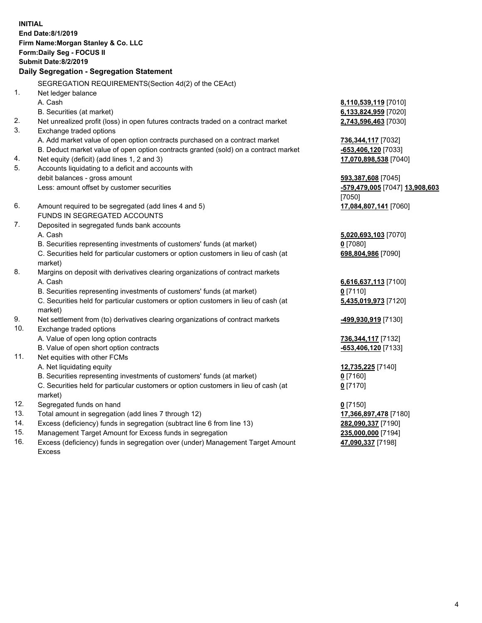**INITIAL End Date:8/1/2019 Firm Name:Morgan Stanley & Co. LLC Form:Daily Seg - FOCUS II Submit Date:8/2/2019 Daily Segregation - Segregation Statement** SEGREGATION REQUIREMENTS(Section 4d(2) of the CEAct) 1. Net ledger balance A. Cash **8,110,539,119** [7010] B. Securities (at market) **6,133,824,959** [7020] 2. Net unrealized profit (loss) in open futures contracts traded on a contract market **2,743,596,463** [7030] 3. Exchange traded options A. Add market value of open option contracts purchased on a contract market **736,344,117** [7032] B. Deduct market value of open option contracts granted (sold) on a contract market **-653,406,120** [7033] 4. Net equity (deficit) (add lines 1, 2 and 3) **17,070,898,538** [7040] 5. Accounts liquidating to a deficit and accounts with debit balances - gross amount **593,387,608** [7045] Less: amount offset by customer securities **-579,479,005** [7047] **13,908,603** [7050] 6. Amount required to be segregated (add lines 4 and 5) **17,084,807,141** [7060] FUNDS IN SEGREGATED ACCOUNTS 7. Deposited in segregated funds bank accounts A. Cash **5,020,693,103** [7070] B. Securities representing investments of customers' funds (at market) **0** [7080] C. Securities held for particular customers or option customers in lieu of cash (at market) **698,804,986** [7090] 8. Margins on deposit with derivatives clearing organizations of contract markets A. Cash **6,616,637,113** [7100] B. Securities representing investments of customers' funds (at market) **0** [7110] C. Securities held for particular customers or option customers in lieu of cash (at market) **5,435,019,973** [7120] 9. Net settlement from (to) derivatives clearing organizations of contract markets **-499,930,919** [7130] 10. Exchange traded options A. Value of open long option contracts **736,344,117** [7132] B. Value of open short option contracts **and the set of our of the set of our of the set of the set of the set of the set of the set of the set of the set of the set of the set of the set of the set of the set of the set o** 11. Net equities with other FCMs A. Net liquidating equity **12,735,225** [7140] B. Securities representing investments of customers' funds (at market) **0** [7160] C. Securities held for particular customers or option customers in lieu of cash (at market) **0** [7170] 12. Segregated funds on hand **0** [7150] 13. Total amount in segregation (add lines 7 through 12) **17,366,897,478** [7180] 14. Excess (deficiency) funds in segregation (subtract line 6 from line 13) **282,090,337** [7190] 15. Management Target Amount for Excess funds in segregation **235,000,000** [7194] **47,090,337** [7198]

16. Excess (deficiency) funds in segregation over (under) Management Target Amount Excess